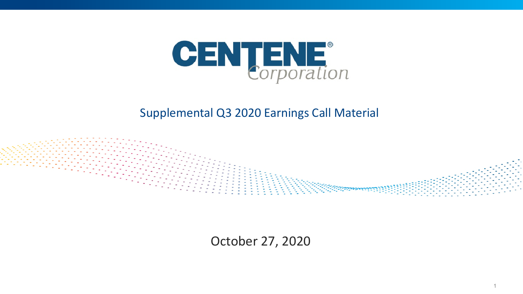

#### Supplemental Q3 2020 Earnings Call Material



October 27, 2020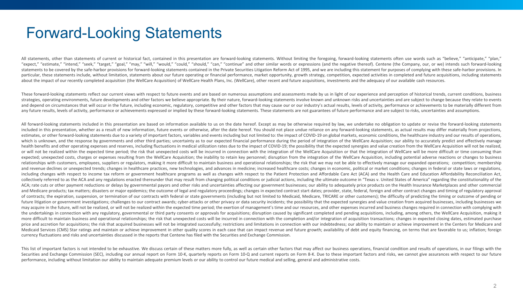# Forward-Looking Statements

" all statements, other than statements of current or historical fact, contained in this presentation are forward-looking statements. Without limiting the foregoing, forward-looking statements often use words such as "beli "expect," "estimate," "intend," "seek," "target," "goal," "may," "will," "would," "could," "sould," "can," "continue" and other similar words or expressions (and the negative thereof). Centene (the Company, our, or we) int statements to be covered by the safe-harbor provisions for forward-looking statements contained in the Private Securities Litigation Reform Act of 1995, and we are including this statement for purposes of complying with th particular, these statements include, without limitation, statements about our future operating or financial performance, market opportunity, growth strategy, competition, expected activities in completed and future acquis about the impact of our recently completed acquisition (the WellCare Acquisition) of WellCare Health Plans, Inc. (WellCare), other recent and future acquisitions, investments and the adequacy of our available cash resources.

These forward-looking statements reflect our current views with respect to future events and are based on numerous assumptions and assessments made by us in light of our experience and perception of historical trends, curr strategies, operating environments, future developments and other factors we believe appropriate. By their nature, forward-looking statements involve known and unknown risks and uncertainties and are subject to change beca and depend on circumstances that will occur in the future, including economic, regulatory, competitive and other factors that may cause our or our industry's actual results, levels of activity, performance or achievements any future results, levels of activity, performance or achievements expressed or implied by these forward-looking statements. These statements are not guarantees of future performance and are subject to risks, uncertaintie

All forward-looking statements included in this presentation are based on information available to us on the date hereof. Except as may be otherwise required by law, we undertake no obligation to update or revise the forwa included in this presentation, whether as a result of new information, future events or otherwise, after the date hereof. You should not place undue reliance on any forward-looking statements, as actual results may differ estimates, or other forward-looking statements due to a variety of important factors, variables and events including but not limited to: the impact of COVID-19 on global markets, economic conditions, the healthcare industr which is unknown, and the response by governments and other third parties; uncertainty as to our expected financial performance during the period of integration of the WellCare Acquisition; our ability to accurately predic health benefits and other operating expenses and reserves, including fluctuations in medical utilization rates due to the impact of COVID-19; the possibility that the expected synergies and value creation from the WellCare or will not be realized within the expected time period; the risk that unexpected costs will be incurred in connection with the integration of the WellCare Acquisition or that the integration of WellCare will be more diffi expected; unexpected costs, charges or expenses resulting from the WellCare Acquisition; the inability to retain key personnel; disruption from the integration of the WellCare Acquisition, including potential adverse react relationships with customers, employees, suppliers or regulators, making it more difficult to maintain business and operational relationships; the risk that we may not be able to effectively manage our expanded operations; and revenue declines or unexpected trends; changes in healthcare practices, new technologies, and advances in medicine; increased healthcare costs; changes in economic, political or market conditions; changes in federal or including changes with respect to income tax reform or government healthcare programs as well as changes with respect to the Patient Protection and Affordable Care Act (ACA) and the Health Care and Education Affordability collectively referred to as the ACA and any regulations enacted thereunder that may result from changing political conditions or judicial actions, including the ultimate outcome in "Texas v. United States of America" regar ACA; rate cuts or other payment reductions or delays by governmental payors and other risks and uncertainties affecting our government businesses; our ability to adequately price products on the Health Insurance Marketplac and Medicare products: tax matters: disasters or major epidemics: the outcome of legal and regulatory proceedings: changes in expected contract start dates: provider, state, federal, foreign and other contract changes and of contracts; the expiration, suspension, or termination of our contracts with federal or state governments (including but not limited to Medicaid, Medicare, TRICARE or other customers); the difficulty of predicting the ti future litigation or government investigations; challenges to our contract awards; cyber-attacks or other privacy or data security incidents; the possibility that the expected synergies and value creation from acquired bus may acquire in the future, will not be realized, or will not be realized within the expected time period; the exertion of management's time and our resources, and other expenses incurred and business changes required in co the undertakings in connection with any regulatory, governmental or third party consents or approvals for acquisitions; disruption caused by significant completed and pending acquisitions, including, among others, the Well more difficult to maintain business and operational relationships: the risk that unexpected costs will be incurred in connection with the completion and/or integration of acquisition transactions; changes in expected closi price and accretion for acquisitions; the risk that acquired businesses will not be integrated successfully; restrictions and limitations in connection with our indebtedness; our ability to maintain or achieve improvement Medicaid Services (CMS) Star ratings and maintain or achieve improvement in other quality scores in each case that can impact revenue and future growth: availability of debt and equity financing, on terms that are favorabl currency fluctuations and risks and uncertainties discussed in the reports that Centene has filed with the Securities and Exchange Commission.

This list of important factors is not intended to be exhaustive. We discuss certain of these matters more fully, as well as certain other factors that may affect our business operations, financial condition and results of Securities and Exchange Commission (SEC), including our annual report on Form 10-K, quarterly reports on Form 10-Q and current reports on Form 8-K. Due to these important factors and risks, we cannot give assurances with r performance, including without limitation our ability to maintain adequate premium levels or our ability to control our future medical and selling, general and administrative costs.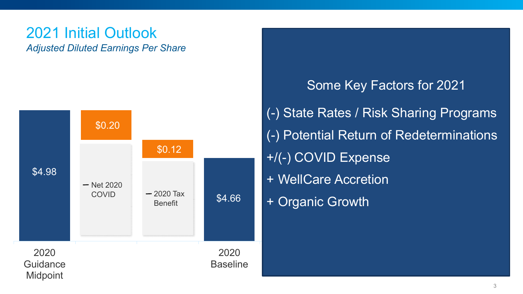### 2021 Initial Outlook **Adjusted Diluted Earnings Per Share**



**Some Key Factors for 2021** (-) State Rates / Risk Sharing Programs (-) Potential Return of Redeterminations +/(-) COVID Expense + WellCare Accretion + Organic Growth